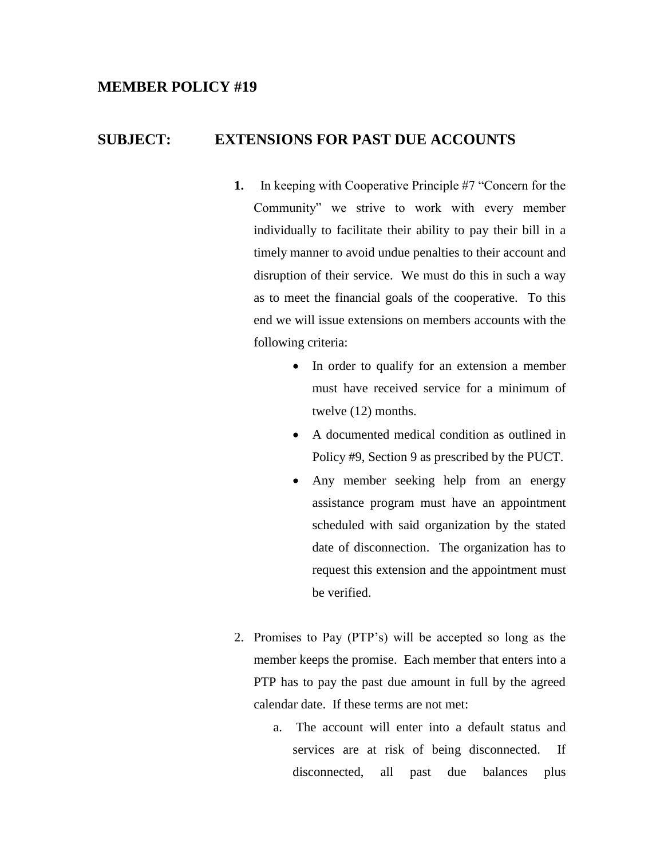## **MEMBER POLICY #19**

## **SUBJECT: EXTENSIONS FOR PAST DUE ACCOUNTS**

- **1.** In keeping with Cooperative Principle #7 "Concern for the Community" we strive to work with every member individually to facilitate their ability to pay their bill in a timely manner to avoid undue penalties to their account and disruption of their service. We must do this in such a way as to meet the financial goals of the cooperative. To this end we will issue extensions on members accounts with the following criteria:
	- In order to qualify for an extension a member must have received service for a minimum of twelve (12) months.
	- A documented medical condition as outlined in Policy #9, Section 9 as prescribed by the PUCT.
	- Any member seeking help from an energy assistance program must have an appointment scheduled with said organization by the stated date of disconnection. The organization has to request this extension and the appointment must be verified.
- 2. Promises to Pay (PTP's) will be accepted so long as the member keeps the promise. Each member that enters into a PTP has to pay the past due amount in full by the agreed calendar date. If these terms are not met:
	- a. The account will enter into a default status and services are at risk of being disconnected. If disconnected, all past due balances plus